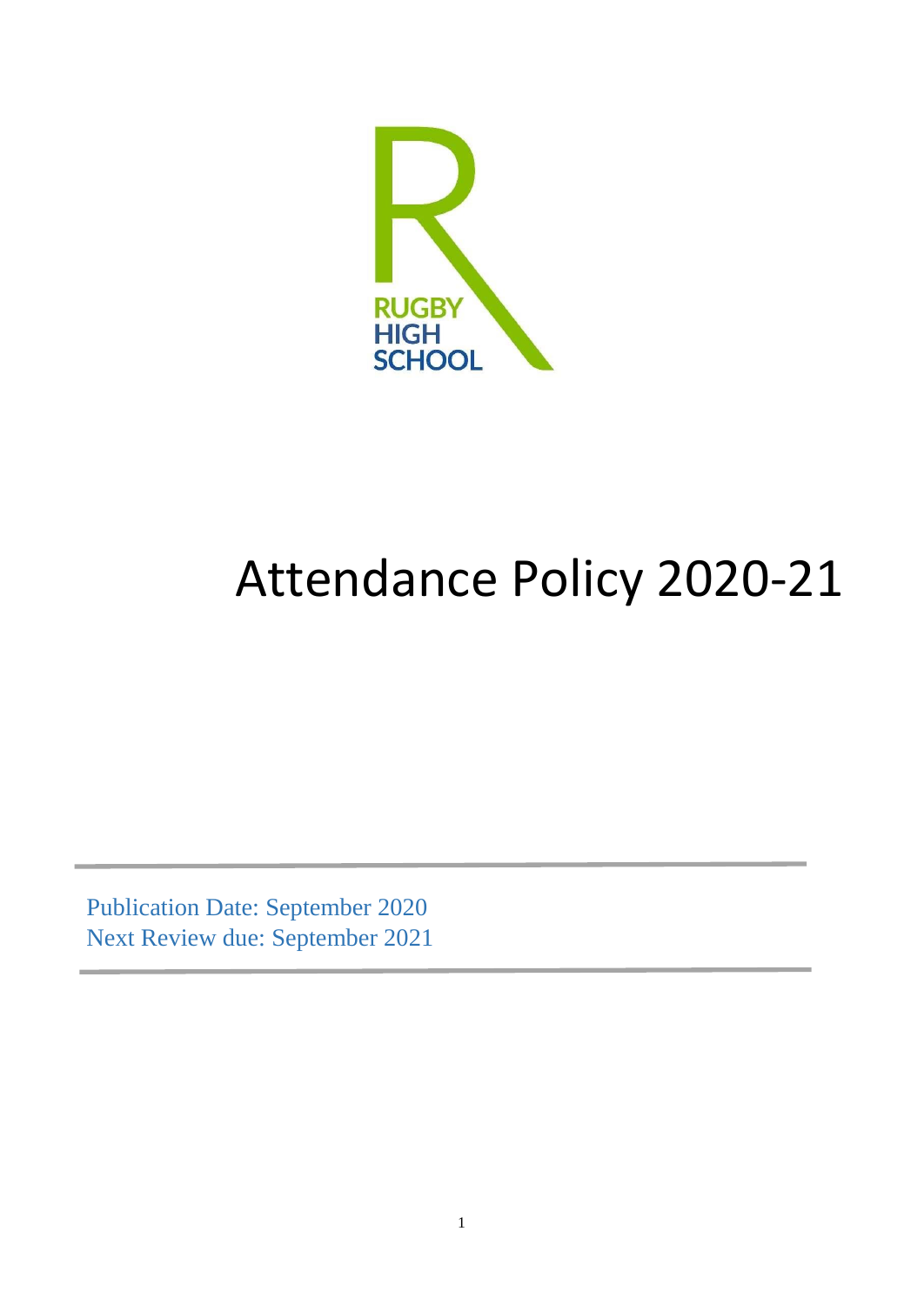

# Attendance Policy 2020-21

Publication Date: September 2020 Next Review due: September 2021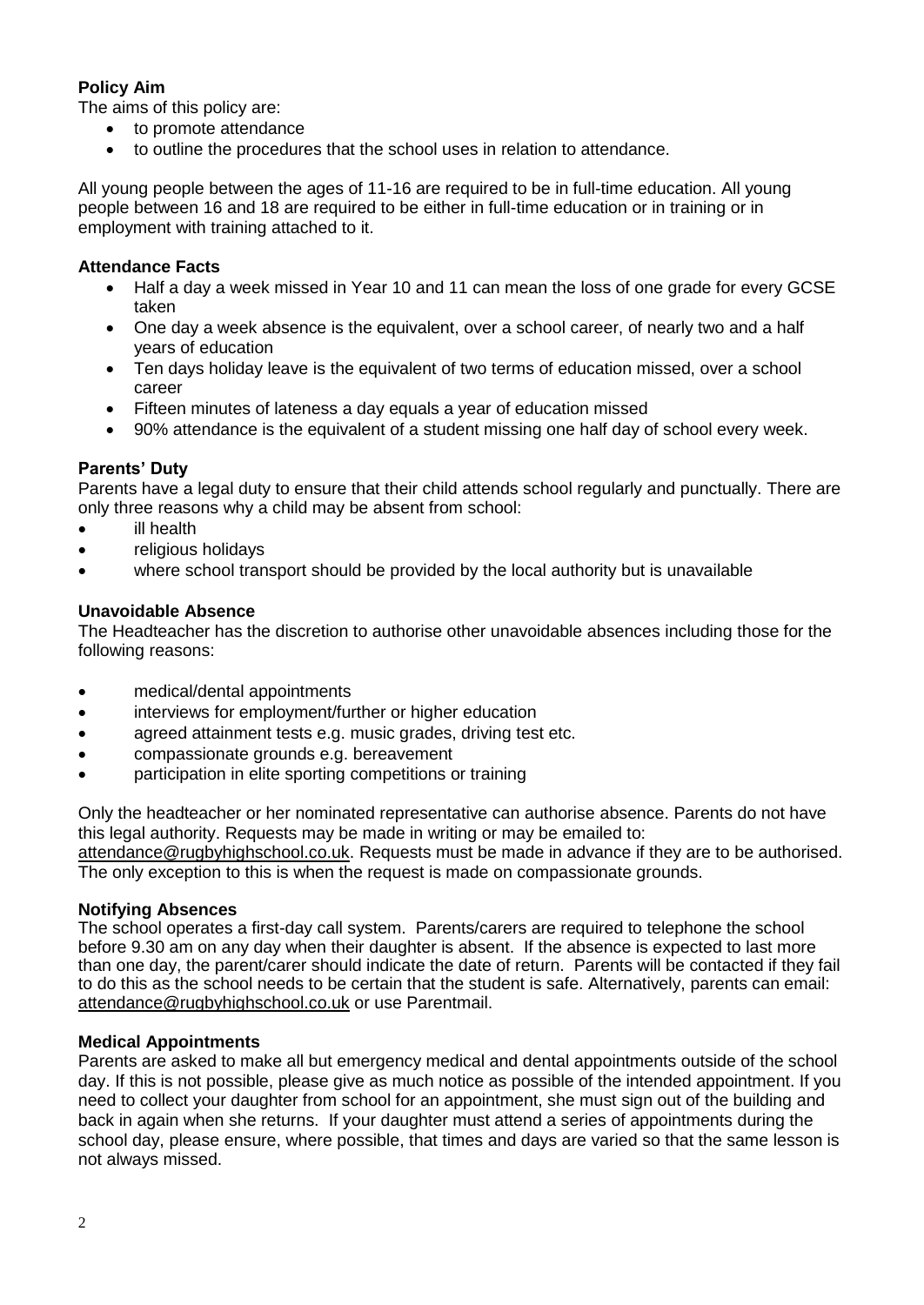# **Policy Aim**

The aims of this policy are:

- to promote attendance
- to outline the procedures that the school uses in relation to attendance.

All young people between the ages of 11-16 are required to be in full-time education. All young people between 16 and 18 are required to be either in full-time education or in training or in employment with training attached to it.

#### **Attendance Facts**

- Half a day a week missed in Year 10 and 11 can mean the loss of one grade for every GCSE taken
- One day a week absence is the equivalent, over a school career, of nearly two and a half years of education
- Ten days holiday leave is the equivalent of two terms of education missed, over a school career
- Fifteen minutes of lateness a day equals a year of education missed
- 90% attendance is the equivalent of a student missing one half day of school every week.

#### **Parents' Duty**

Parents have a legal duty to ensure that their child attends school regularly and punctually. There are only three reasons why a child may be absent from school:

- ill health
- religious holidays
- where school transport should be provided by the local authority but is unavailable

#### **Unavoidable Absence**

The Headteacher has the discretion to authorise other unavoidable absences including those for the following reasons:

- medical/dental appointments
- interviews for employment/further or higher education
- agreed attainment tests e.g. music grades, driving test etc.
- compassionate grounds e.g. bereavement
- participation in elite sporting competitions or training

Only the headteacher or her nominated representative can authorise absence. Parents do not have this legal authority. Requests may be made in writing or may be emailed to:

[attendance@rugbyhighschool.co.uk.](mailto:attendance@rugbyhighschool.co.uk) Requests must be made in advance if they are to be authorised. The only exception to this is when the request is made on compassionate grounds.

#### **Notifying Absences**

The school operates a first-day call system. Parents/carers are required to telephone the school before 9.30 am on any day when their daughter is absent. If the absence is expected to last more than one day, the parent/carer should indicate the date of return. Parents will be contacted if they fail to do this as the school needs to be certain that the student is safe. Alternatively, parents can email: [attendance@rugbyhighschool.co.uk](mailto:attendance@rugbyhighschool.co.uk) or use Parentmail.

#### **Medical Appointments**

Parents are asked to make all but emergency medical and dental appointments outside of the school day. If this is not possible, please give as much notice as possible of the intended appointment. If you need to collect your daughter from school for an appointment, she must sign out of the building and back in again when she returns. If your daughter must attend a series of appointments during the school day, please ensure, where possible, that times and days are varied so that the same lesson is not always missed.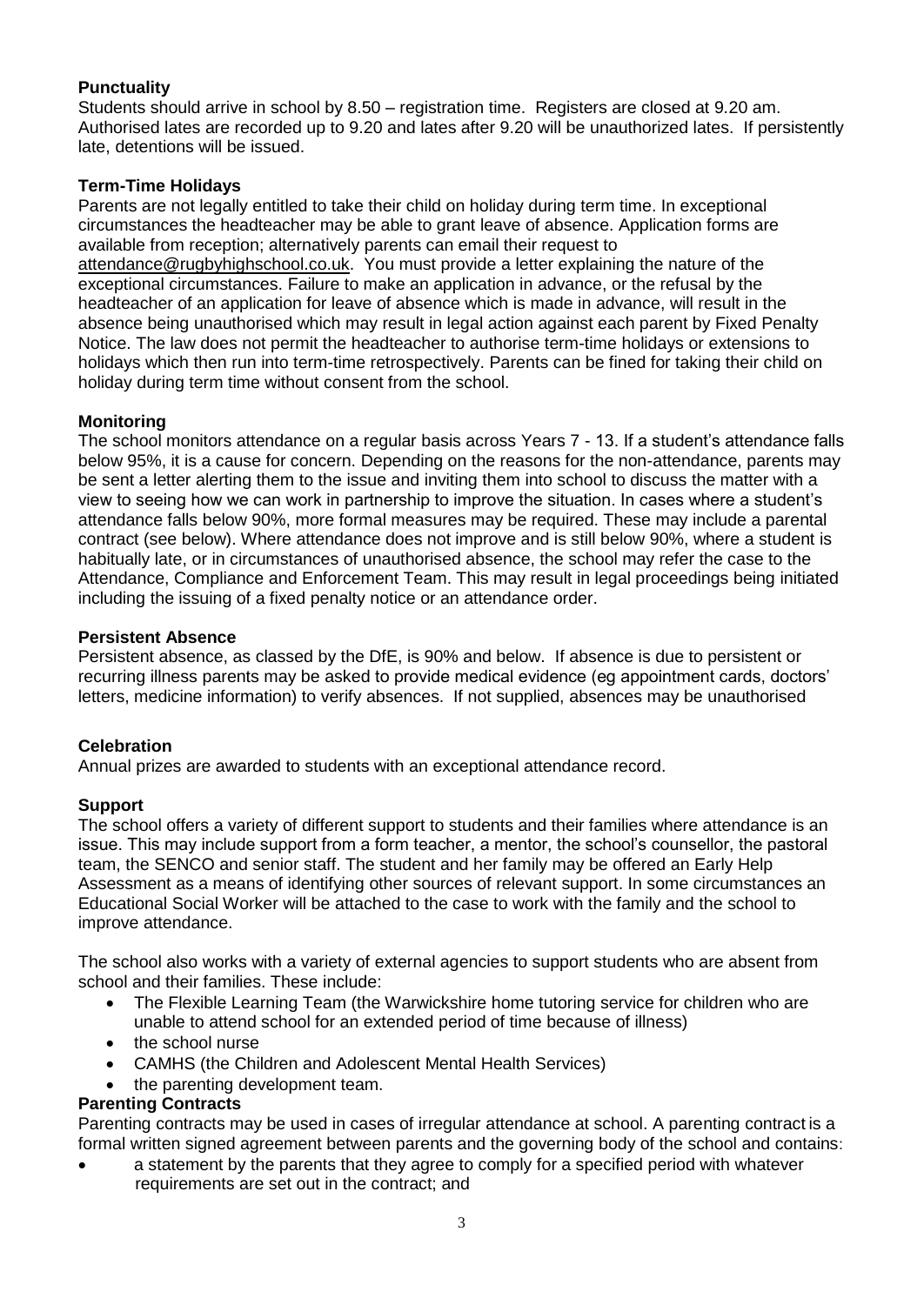# **Punctuality**

Students should arrive in school by 8.50 – registration time. Registers are closed at 9.20 am. Authorised lates are recorded up to 9.20 and lates after 9.20 will be unauthorized lates. If persistently late, detentions will be issued.

## **Term-Time Holidays**

Parents are not legally entitled to take their child on holiday during term time. In exceptional circumstances the headteacher may be able to grant leave of absence. Application forms are available from reception; alternatively parents can email their request to [attendance@rugbyhighschool.co.uk.](mailto:attendance@rugbyhighschool.co.uk) You must provide a letter explaining the nature of the exceptional circumstances. Failure to make an application in advance, or the refusal by the headteacher of an application for leave of absence which is made in advance, will result in the absence being unauthorised which may result in legal action against each parent by Fixed Penalty Notice. The law does not permit the headteacher to authorise term-time holidays or extensions to holidays which then run into term-time retrospectively. Parents can be fined for taking their child on holiday during term time without consent from the school.

## **Monitoring**

The school monitors attendance on a regular basis across Years 7 - 13. If a student's attendance falls below 95%, it is a cause for concern. Depending on the reasons for the non-attendance, parents may be sent a letter alerting them to the issue and inviting them into school to discuss the matter with a view to seeing how we can work in partnership to improve the situation. In cases where a student's attendance falls below 90%, more formal measures may be required. These may include a parental contract (see below). Where attendance does not improve and is still below 90%, where a student is habitually late, or in circumstances of unauthorised absence, the school may refer the case to the Attendance, Compliance and Enforcement Team. This may result in legal proceedings being initiated including the issuing of a fixed penalty notice or an attendance order.

#### **Persistent Absence**

Persistent absence, as classed by the DfE, is 90% and below. If absence is due to persistent or recurring illness parents may be asked to provide medical evidence (eg appointment cards, doctors' letters, medicine information) to verify absences. If not supplied, absences may be unauthorised

#### **Celebration**

Annual prizes are awarded to students with an exceptional attendance record.

#### **Support**

The school offers a variety of different support to students and their families where attendance is an issue. This may include support from a form teacher, a mentor, the school's counsellor, the pastoral team, the SENCO and senior staff. The student and her family may be offered an Early Help Assessment as a means of identifying other sources of relevant support. In some circumstances an Educational Social Worker will be attached to the case to work with the family and the school to improve attendance.

The school also works with a variety of external agencies to support students who are absent from school and their families. These include:

- The Flexible Learning Team (the Warwickshire home tutoring service for children who are unable to attend school for an extended period of time because of illness)
- the school nurse
- CAMHS (the Children and Adolescent Mental Health Services)
- the parenting development team.

#### **Parenting Contracts**

Parenting contracts may be used in cases of irregular attendance at school. A parenting contract is a formal written signed agreement between parents and the governing body of the school and contains:

 a statement by the parents that they agree to comply for a specified period with whatever requirements are set out in the contract; and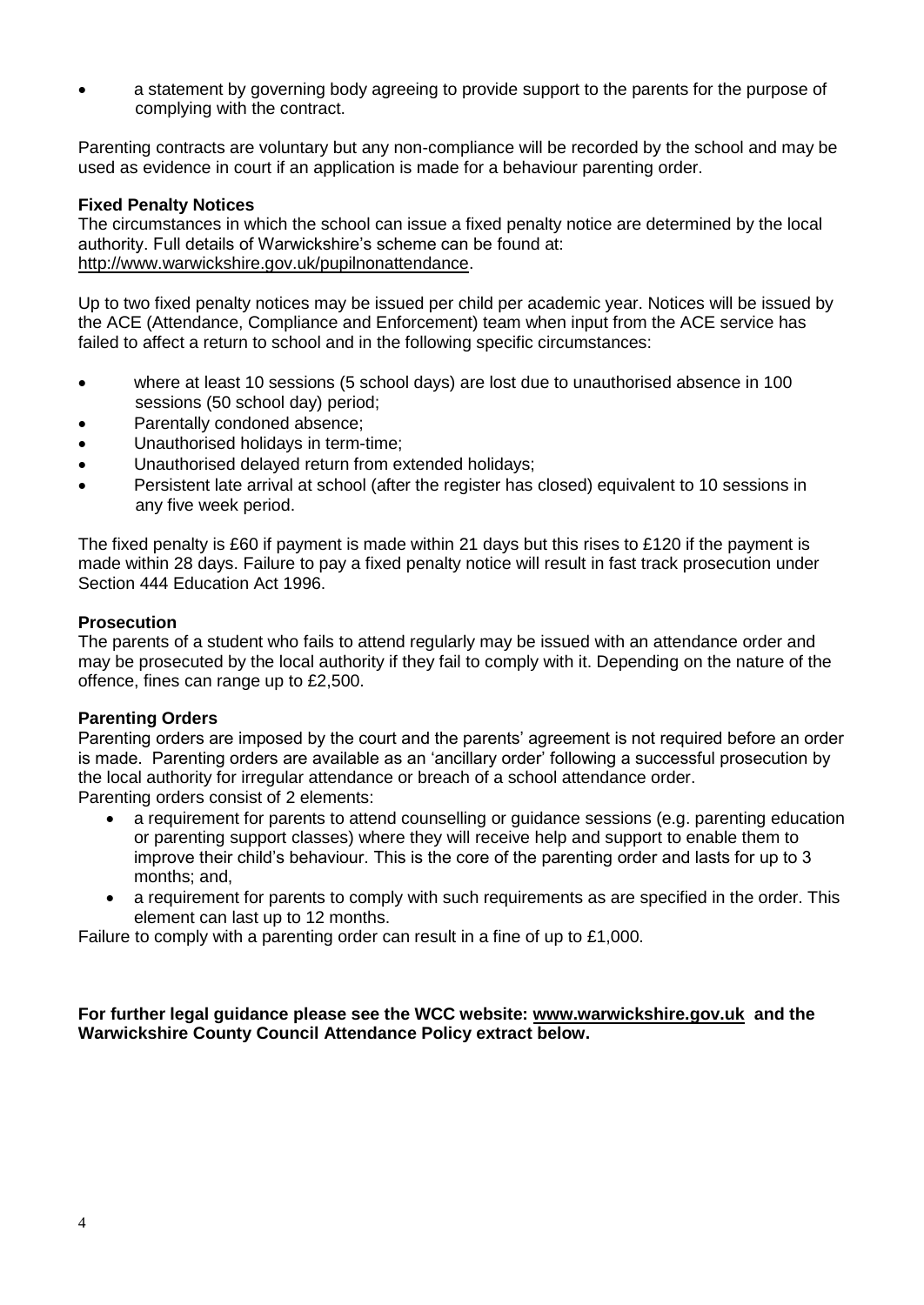a statement by governing body agreeing to provide support to the parents for the purpose of complying with the contract.

Parenting contracts are voluntary but any non-compliance will be recorded by the school and may be used as evidence in court if an application is made for a behaviour parenting order.

#### **Fixed Penalty Notices**

The circumstances in which the school can issue a fixed penalty notice are determined by the local authority. Full details of Warwickshire's scheme can be found at: [http://www.warwickshire.gov.uk/pupilnonattendance.](http://www.warwickshire.gov.uk/pupilnonattendance)

Up to two fixed penalty notices may be issued per child per academic year. Notices will be issued by the ACE (Attendance, Compliance and Enforcement) team when input from the ACE service has failed to affect a return to school and in the following specific circumstances:

- where at least 10 sessions (5 school days) are lost due to unauthorised absence in 100 sessions (50 school day) period;
- Parentally condoned absence;
- Unauthorised holidays in term-time;
- Unauthorised delayed return from extended holidays;
- Persistent late arrival at school (after the register has closed) equivalent to 10 sessions in any five week period.

The fixed penalty is £60 if payment is made within 21 days but this rises to £120 if the payment is made within 28 days. Failure to pay a fixed penalty notice will result in fast track prosecution under Section 444 Education Act 1996.

#### **Prosecution**

The parents of a student who fails to attend regularly may be issued with an attendance order and may be prosecuted by the local authority if they fail to comply with it. Depending on the nature of the offence, fines can range up to £2,500.

#### **Parenting Orders**

Parenting orders are imposed by the court and the parents' agreement is not required before an order is made. Parenting orders are available as an 'ancillary order' following a successful prosecution by the local authority for irregular attendance or breach of a school attendance order. Parenting orders consist of 2 elements:

- a requirement for parents to attend counselling or guidance sessions (e.g. parenting education or parenting support classes) where they will receive help and support to enable them to improve their child's behaviour. This is the core of the parenting order and lasts for up to 3 months; and,
- a requirement for parents to comply with such requirements as are specified in the order. This element can last up to 12 months.

Failure to comply with a parenting order can result in a fine of up to £1,000.

#### **For further legal guidance please see the WCC website: [www.warwickshire.gov.uk](http://www.warwickshire.gov.uk/) and the Warwickshire County Council Attendance Policy extract below.**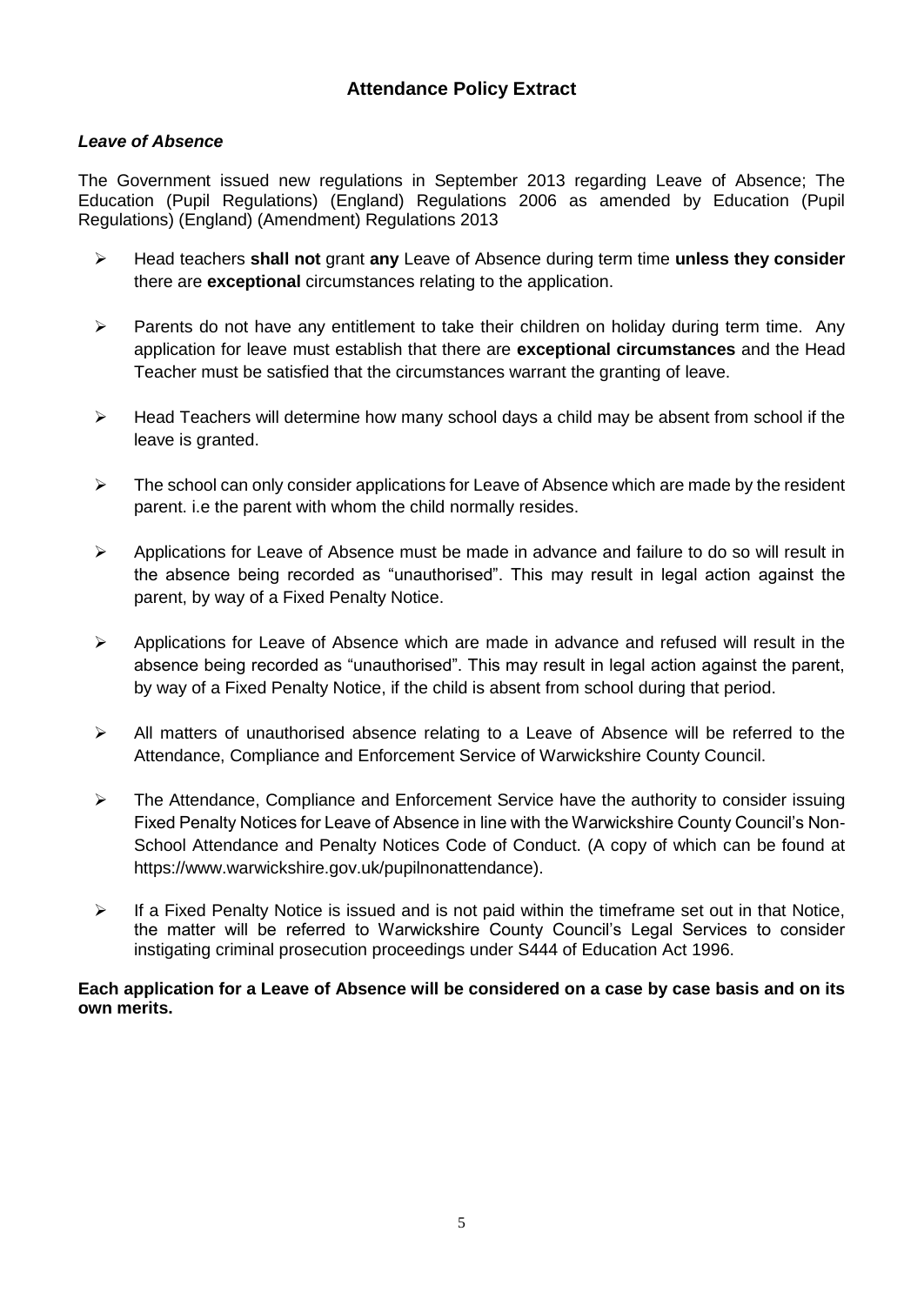# *Leave of Absence*

The Government issued new regulations in September 2013 regarding Leave of Absence; The Education (Pupil Regulations) (England) Regulations 2006 as amended by Education (Pupil Regulations) (England) (Amendment) Regulations 2013

- Head teachers **shall not** grant **any** Leave of Absence during term time **unless they consider** there are **exceptional** circumstances relating to the application.
- $\triangleright$  Parents do not have any entitlement to take their children on holiday during term time. Any application for leave must establish that there are **exceptional circumstances** and the Head Teacher must be satisfied that the circumstances warrant the granting of leave.
- $\triangleright$  Head Teachers will determine how many school days a child may be absent from school if the leave is granted.
- $\triangleright$  The school can only consider applications for Leave of Absence which are made by the resident parent. i.e the parent with whom the child normally resides.
- $\triangleright$  Applications for Leave of Absence must be made in advance and failure to do so will result in the absence being recorded as "unauthorised". This may result in legal action against the parent, by way of a Fixed Penalty Notice.
- $\triangleright$  Applications for Leave of Absence which are made in advance and refused will result in the absence being recorded as "unauthorised". This may result in legal action against the parent, by way of a Fixed Penalty Notice, if the child is absent from school during that period.
- $\triangleright$  All matters of unauthorised absence relating to a Leave of Absence will be referred to the Attendance, Compliance and Enforcement Service of Warwickshire County Council.
- $\triangleright$  The Attendance, Compliance and Enforcement Service have the authority to consider issuing Fixed Penalty Notices for Leave of Absence in line with the Warwickshire County Council's Non-School Attendance and Penalty Notices Code of Conduct. (A copy of which can be found at https://www.warwickshire.gov.uk/pupilnonattendance).
- $\triangleright$  If a Fixed Penalty Notice is issued and is not paid within the timeframe set out in that Notice, the matter will be referred to Warwickshire County Council's Legal Services to consider instigating criminal prosecution proceedings under S444 of Education Act 1996.

#### **Each application for a Leave of Absence will be considered on a case by case basis and on its own merits.**